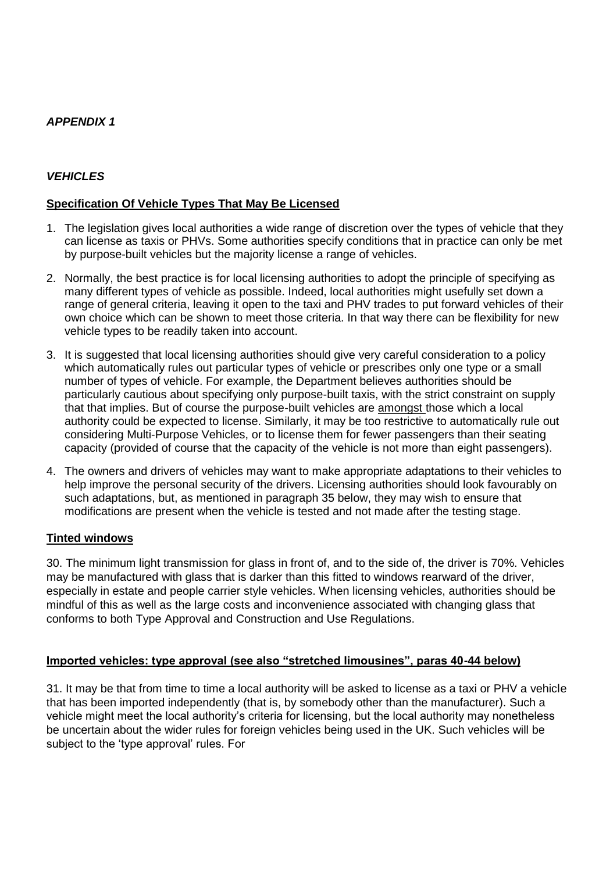### *APPENDIX 1*

## *VEHICLES*

## **Specification Of Vehicle Types That May Be Licensed**

- 1. The legislation gives local authorities a wide range of discretion over the types of vehicle that they can license as taxis or PHVs. Some authorities specify conditions that in practice can only be met by purpose-built vehicles but the majority license a range of vehicles.
- 2. Normally, the best practice is for local licensing authorities to adopt the principle of specifying as many different types of vehicle as possible. Indeed, local authorities might usefully set down a range of general criteria, leaving it open to the taxi and PHV trades to put forward vehicles of their own choice which can be shown to meet those criteria. In that way there can be flexibility for new vehicle types to be readily taken into account.
- 3. It is suggested that local licensing authorities should give very careful consideration to a policy which automatically rules out particular types of vehicle or prescribes only one type or a small number of types of vehicle. For example, the Department believes authorities should be particularly cautious about specifying only purpose-built taxis, with the strict constraint on supply that that implies. But of course the purpose-built vehicles are amongst those which a local authority could be expected to license. Similarly, it may be too restrictive to automatically rule out considering Multi-Purpose Vehicles, or to license them for fewer passengers than their seating capacity (provided of course that the capacity of the vehicle is not more than eight passengers).
- 4. The owners and drivers of vehicles may want to make appropriate adaptations to their vehicles to help improve the personal security of the drivers. Licensing authorities should look favourably on such adaptations, but, as mentioned in paragraph 35 below, they may wish to ensure that modifications are present when the vehicle is tested and not made after the testing stage.

#### **Tinted windows**

30. The minimum light transmission for glass in front of, and to the side of, the driver is 70%. Vehicles may be manufactured with glass that is darker than this fitted to windows rearward of the driver, especially in estate and people carrier style vehicles. When licensing vehicles, authorities should be mindful of this as well as the large costs and inconvenience associated with changing glass that conforms to both Type Approval and Construction and Use Regulations.

#### **Imported vehicles: type approval (see also "stretched limousines", paras 40-44 below)**

31. It may be that from time to time a local authority will be asked to license as a taxi or PHV a vehicle that has been imported independently (that is, by somebody other than the manufacturer). Such a vehicle might meet the local authority's criteria for licensing, but the local authority may nonetheless be uncertain about the wider rules for foreign vehicles being used in the UK. Such vehicles will be subject to the 'type approval' rules. For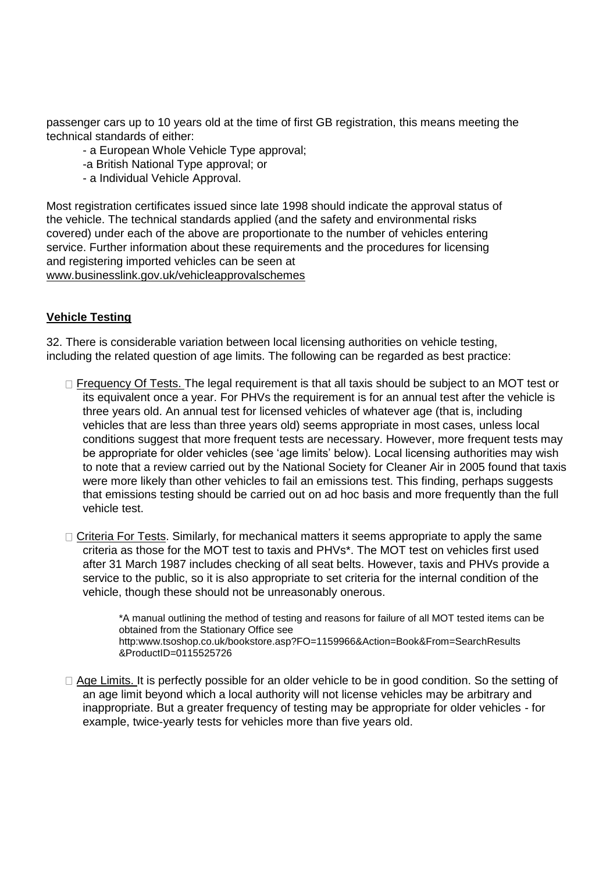passenger cars up to 10 years old at the time of first GB registration, this means meeting the technical standards of either:

- a European Whole Vehicle Type approval;

-a British National Type approval; or

- a Individual Vehicle Approval.

Most registration certificates issued since late 1998 should indicate the approval status of the vehicle. The technical standards applied (and the safety and environmental risks covered) under each of the above are proportionate to the number of vehicles entering service. Further information about these requirements and the procedures for licensing and registering imported vehicles can be seen at www.businesslink.gov.uk/vehicleapprovalschemes

### **Vehicle Testing**

32. There is considerable variation between local licensing authorities on vehicle testing, including the related question of age limits. The following can be regarded as best practice:

- $\Box$  Frequency Of Tests. The legal requirement is that all taxis should be subject to an MOT test or its equivalent once a year. For PHVs the requirement is for an annual test after the vehicle is three years old. An annual test for licensed vehicles of whatever age (that is, including vehicles that are less than three years old) seems appropriate in most cases, unless local conditions suggest that more frequent tests are necessary. However, more frequent tests may be appropriate for older vehicles (see 'age limits' below). Local licensing authorities may wish to note that a review carried out by the National Society for Cleaner Air in 2005 found that taxis were more likely than other vehicles to fail an emissions test. This finding, perhaps suggests that emissions testing should be carried out on ad hoc basis and more frequently than the full vehicle test.
- $\Box$  Criteria For Tests. Similarly, for mechanical matters it seems appropriate to apply the same criteria as those for the MOT test to taxis and PHVs\*. The MOT test on vehicles first used after 31 March 1987 includes checking of all seat belts. However, taxis and PHVs provide a service to the public, so it is also appropriate to set criteria for the internal condition of the vehicle, though these should not be unreasonably onerous.

\*A manual outlining the method of testing and reasons for failure of all MOT tested items can be obtained from the Stationary Office see http:www.tsoshop.co.uk/bookstore.asp?FO=1159966&Action=Book&From=SearchResults &ProductID=0115525726

 $\Box$  Age Limits. It is perfectly possible for an older vehicle to be in good condition. So the setting of an age limit beyond which a local authority will not license vehicles may be arbitrary and inappropriate. But a greater frequency of testing may be appropriate for older vehicles - for example, twice-yearly tests for vehicles more than five years old.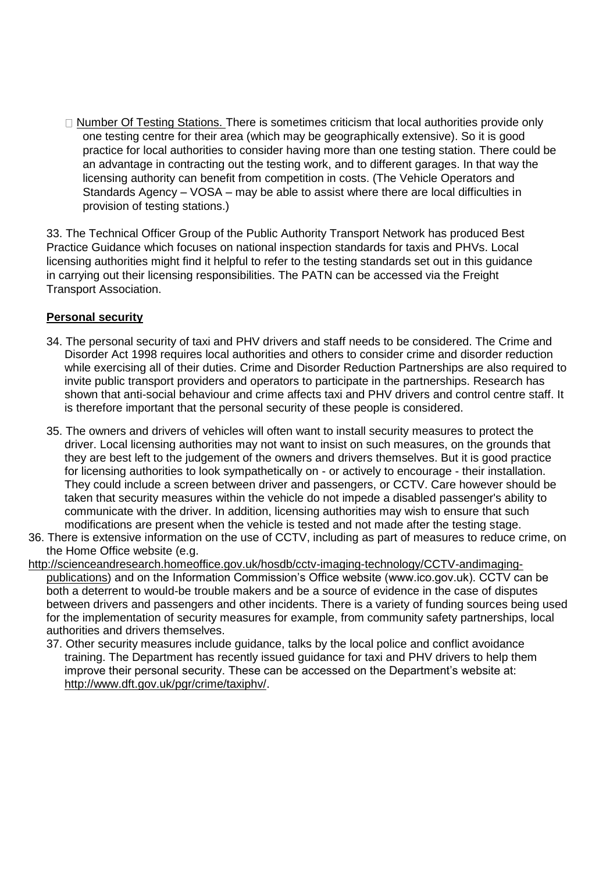$\Box$  Number Of Testing Stations. There is sometimes criticism that local authorities provide only one testing centre for their area (which may be geographically extensive). So it is good practice for local authorities to consider having more than one testing station. There could be an advantage in contracting out the testing work, and to different garages. In that way the licensing authority can benefit from competition in costs. (The Vehicle Operators and Standards Agency – VOSA – may be able to assist where there are local difficulties in provision of testing stations.)

33. The Technical Officer Group of the Public Authority Transport Network has produced Best Practice Guidance which focuses on national inspection standards for taxis and PHVs. Local licensing authorities might find it helpful to refer to the testing standards set out in this guidance in carrying out their licensing responsibilities. The PATN can be accessed via the Freight Transport Association.

### **Personal security**

- 34. The personal security of taxi and PHV drivers and staff needs to be considered. The Crime and Disorder Act 1998 requires local authorities and others to consider crime and disorder reduction while exercising all of their duties. Crime and Disorder Reduction Partnerships are also required to invite public transport providers and operators to participate in the partnerships. Research has shown that anti-social behaviour and crime affects taxi and PHV drivers and control centre staff. It is therefore important that the personal security of these people is considered.
- 35. The owners and drivers of vehicles will often want to install security measures to protect the driver. Local licensing authorities may not want to insist on such measures, on the grounds that they are best left to the judgement of the owners and drivers themselves. But it is good practice for licensing authorities to look sympathetically on - or actively to encourage - their installation. They could include a screen between driver and passengers, or CCTV. Care however should be taken that security measures within the vehicle do not impede a disabled passenger's ability to communicate with the driver. In addition, licensing authorities may wish to ensure that such modifications are present when the vehicle is tested and not made after the testing stage.
- 36. There is extensive information on the use of CCTV, including as part of measures to reduce crime, on the Home Office website (e.g.
- http://scienceandresearch.homeoffice.gov.uk/hosdb/cctv-imaging-technology/CCTV-andimagingpublications) and on the Information Commission's Office website (www.ico.gov.uk). CCTV can be both a deterrent to would-be trouble makers and be a source of evidence in the case of disputes between drivers and passengers and other incidents. There is a variety of funding sources being used for the implementation of security measures for example, from community safety partnerships, local authorities and drivers themselves.
	- 37. Other security measures include guidance, talks by the local police and conflict avoidance training. The Department has recently issued guidance for taxi and PHV drivers to help them improve their personal security. These can be accessed on the Department's website at: http://www.dft.gov.uk/pgr/crime/taxiphv/.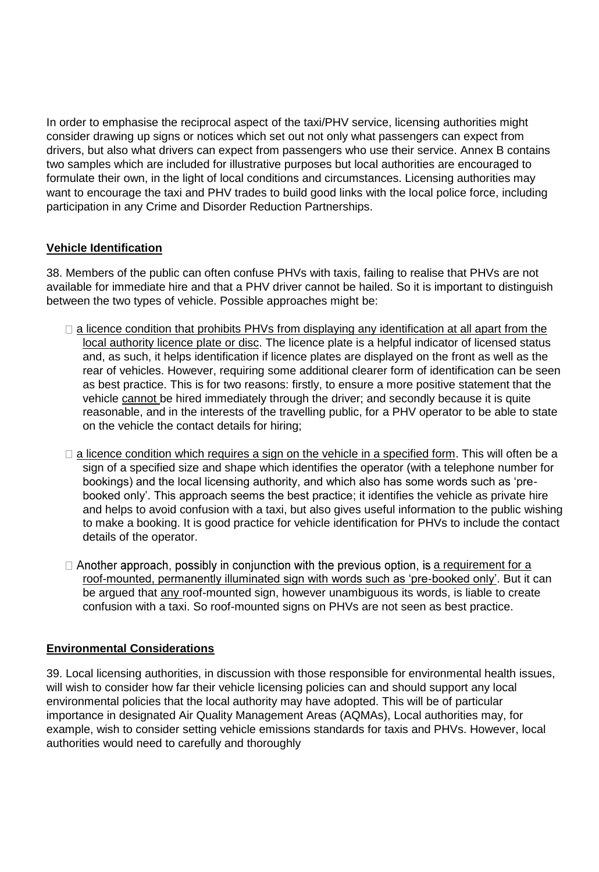In order to emphasise the reciprocal aspect of the taxi/PHV service, licensing authorities might consider drawing up signs or notices which set out not only what passengers can expect from drivers, but also what drivers can expect from passengers who use their service. Annex B contains two samples which are included for illustrative purposes but local authorities are encouraged to formulate their own, in the light of local conditions and circumstances. Licensing authorities may want to encourage the taxi and PHV trades to build good links with the local police force, including participation in any Crime and Disorder Reduction Partnerships.

## **Vehicle Identification**

38. Members of the public can often confuse PHVs with taxis, failing to realise that PHVs are not available for immediate hire and that a PHV driver cannot be hailed. So it is important to distinguish between the two types of vehicle. Possible approaches might be:

- $\Box$  a licence condition that prohibits PHVs from displaying any identification at all apart from the local authority licence plate or disc. The licence plate is a helpful indicator of licensed status and, as such, it helps identification if licence plates are displayed on the front as well as the rear of vehicles. However, requiring some additional clearer form of identification can be seen as best practice. This is for two reasons: firstly, to ensure a more positive statement that the vehicle cannot be hired immediately through the driver; and secondly because it is quite reasonable, and in the interests of the travelling public, for a PHV operator to be able to state on the vehicle the contact details for hiring;
- $\Box$  a licence condition which requires a sign on the vehicle in a specified form. This will often be a sign of a specified size and shape which identifies the operator (with a telephone number for bookings) and the local licensing authority, and which also has some words such as 'prebooked only'. This approach seems the best practice; it identifies the vehicle as private hire and helps to avoid confusion with a taxi, but also gives useful information to the public wishing to make a booking. It is good practice for vehicle identification for PHVs to include the contact details of the operator.
- $\Box$  Another approach, possibly in conjunction with the previous option, is a requirement for a roof-mounted, permanently illuminated sign with words such as 'pre-booked only'. But it can be argued that any roof-mounted sign, however unambiguous its words, is liable to create confusion with a taxi. So roof-mounted signs on PHVs are not seen as best practice.

## **Environmental Considerations**

39. Local licensing authorities, in discussion with those responsible for environmental health issues, will wish to consider how far their vehicle licensing policies can and should support any local environmental policies that the local authority may have adopted. This will be of particular importance in designated Air Quality Management Areas (AQMAs), Local authorities may, for example, wish to consider setting vehicle emissions standards for taxis and PHVs. However, local authorities would need to carefully and thoroughly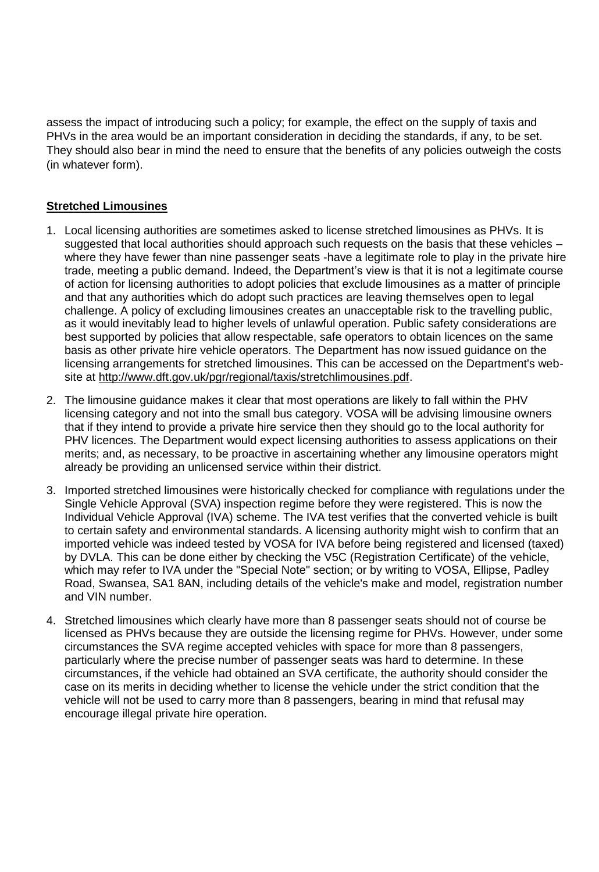assess the impact of introducing such a policy; for example, the effect on the supply of taxis and PHVs in the area would be an important consideration in deciding the standards, if any, to be set. They should also bear in mind the need to ensure that the benefits of any policies outweigh the costs (in whatever form).

# **Stretched Limousines**

- 1. Local licensing authorities are sometimes asked to license stretched limousines as PHVs. It is suggested that local authorities should approach such requests on the basis that these vehicles – where they have fewer than nine passenger seats -have a legitimate role to play in the private hire trade, meeting a public demand. Indeed, the Department's view is that it is not a legitimate course of action for licensing authorities to adopt policies that exclude limousines as a matter of principle and that any authorities which do adopt such practices are leaving themselves open to legal challenge. A policy of excluding limousines creates an unacceptable risk to the travelling public, as it would inevitably lead to higher levels of unlawful operation. Public safety considerations are best supported by policies that allow respectable, safe operators to obtain licences on the same basis as other private hire vehicle operators. The Department has now issued guidance on the licensing arrangements for stretched limousines. This can be accessed on the Department's website at http://www.dft.gov.uk/pgr/regional/taxis/stretchlimousines.pdf.
- 2. The limousine guidance makes it clear that most operations are likely to fall within the PHV licensing category and not into the small bus category. VOSA will be advising limousine owners that if they intend to provide a private hire service then they should go to the local authority for PHV licences. The Department would expect licensing authorities to assess applications on their merits; and, as necessary, to be proactive in ascertaining whether any limousine operators might already be providing an unlicensed service within their district.
- 3. Imported stretched limousines were historically checked for compliance with regulations under the Single Vehicle Approval (SVA) inspection regime before they were registered. This is now the Individual Vehicle Approval (IVA) scheme. The IVA test verifies that the converted vehicle is built to certain safety and environmental standards. A licensing authority might wish to confirm that an imported vehicle was indeed tested by VOSA for IVA before being registered and licensed (taxed) by DVLA. This can be done either by checking the V5C (Registration Certificate) of the vehicle, which may refer to IVA under the "Special Note" section; or by writing to VOSA, Ellipse, Padley Road, Swansea, SA1 8AN, including details of the vehicle's make and model, registration number and VIN number.
- 4. Stretched limousines which clearly have more than 8 passenger seats should not of course be licensed as PHVs because they are outside the licensing regime for PHVs. However, under some circumstances the SVA regime accepted vehicles with space for more than 8 passengers, particularly where the precise number of passenger seats was hard to determine. In these circumstances, if the vehicle had obtained an SVA certificate, the authority should consider the case on its merits in deciding whether to license the vehicle under the strict condition that the vehicle will not be used to carry more than 8 passengers, bearing in mind that refusal may encourage illegal private hire operation.